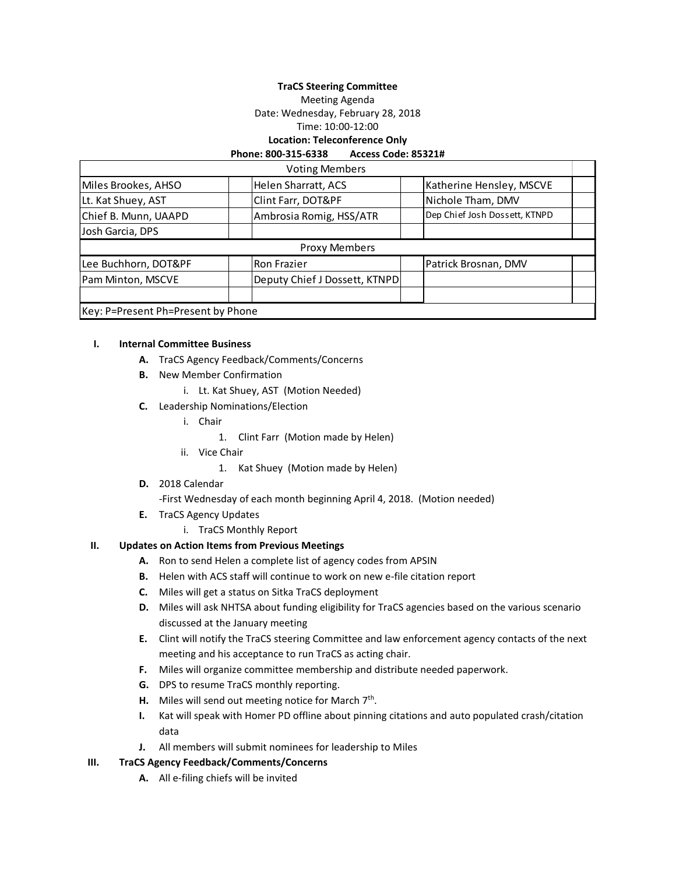#### **TraCS Steering Committee**

Meeting Agenda

Date: Wednesday, February 28, 2018

Time: 10:00-12:00

# **Location: Teleconference Only**

#### **Phone: 800-315-6338 Access Code: 85321#**

|                                    | <b>Voting Members</b>         |                               |
|------------------------------------|-------------------------------|-------------------------------|
| Miles Brookes, AHSO                | Helen Sharratt, ACS           | Katherine Hensley, MSCVE      |
| Lt. Kat Shuey, AST                 | Clint Farr, DOT&PF            | Nichole Tham, DMV             |
| Chief B. Munn, UAAPD               | Ambrosia Romig, HSS/ATR       | Dep Chief Josh Dossett, KTNPD |
| Josh Garcia, DPS                   |                               |                               |
|                                    | <b>Proxy Members</b>          |                               |
| Lee Buchhorn, DOT&PF               | <b>Ron Frazier</b>            | Patrick Brosnan, DMV          |
| Pam Minton, MSCVE                  | Deputy Chief J Dossett, KTNPD |                               |
|                                    |                               |                               |
| Key: P=Present Ph=Present by Phone |                               |                               |

#### **I. Internal Committee Business**

- **A.** TraCS Agency Feedback/Comments/Concerns
- **B.** New Member Confirmation
	- i. Lt. Kat Shuey, AST (Motion Needed)
- **C.** Leadership Nominations/Election
	- i. Chair
		- 1. Clint Farr (Motion made by Helen)
	- ii. Vice Chair

1. Kat Shuey (Motion made by Helen)

**D.** 2018 Calendar

-First Wednesday of each month beginning April 4, 2018. (Motion needed)

- **E.** TraCS Agency Updates
	- i. TraCS Monthly Report

### **II. Updates on Action Items from Previous Meetings**

- **A.** Ron to send Helen a complete list of agency codes from APSIN
- **B.** Helen with ACS staff will continue to work on new e-file citation report
- **C.** Miles will get a status on Sitka TraCS deployment
- **D.** Miles will ask NHTSA about funding eligibility for TraCS agencies based on the various scenario discussed at the January meeting
- **E.** Clint will notify the TraCS steering Committee and law enforcement agency contacts of the next meeting and his acceptance to run TraCS as acting chair.
- **F.** Miles will organize committee membership and distribute needed paperwork.
- **G.** DPS to resume TraCS monthly reporting.
- H. Miles will send out meeting notice for March 7<sup>th</sup>.
- **I.** Kat will speak with Homer PD offline about pinning citations and auto populated crash/citation data
- **J.** All members will submit nominees for leadership to Miles

#### **III. TraCS Agency Feedback/Comments/Concerns**

**A.** All e-filing chiefs will be invited